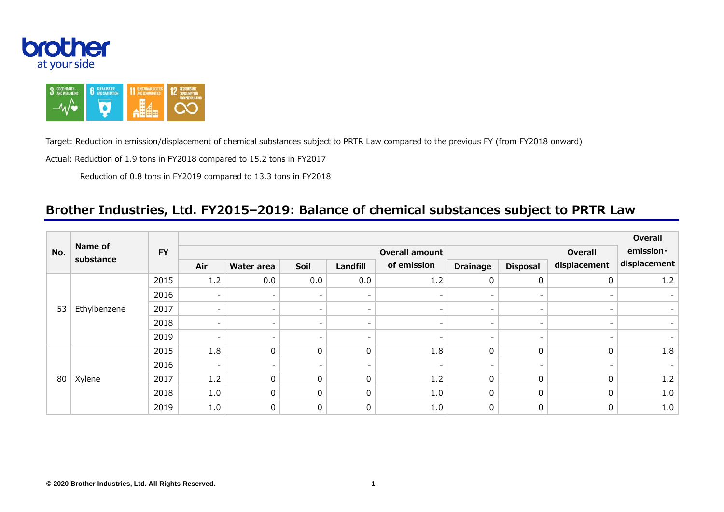



Target: Reduction in emission/displacement of chemical substances subject to PRTR Law compared to the previous FY (from FY2018 onward)

Actual: Reduction of 1.9 tons in FY2018 compared to 15.2 tons in FY2017

Reduction of 0.8 tons in FY2019 compared to 13.3 tons in FY2018

## **Brother Industries, Ltd. FY2015–2019: Balance of chemical substances subject to PRTR Law**

| No. | Name of<br>substance | <b>FY</b> | Overall                  |                          |                          |                          |                          |                          |                          |                          | Overall      |
|-----|----------------------|-----------|--------------------------|--------------------------|--------------------------|--------------------------|--------------------------|--------------------------|--------------------------|--------------------------|--------------|
|     |                      |           | <b>Overall amount</b>    |                          |                          |                          |                          |                          | emission·                |                          |              |
|     |                      |           | Air                      | Water area               | Soil                     | Landfill                 | of emission              | <b>Drainage</b>          | <b>Disposal</b>          | displacement             | displacement |
| 53  | Ethylbenzene         | 2015      | 1.2                      | 0.0                      | 0.0                      | 0.0                      | 1.2                      | 0                        | $\pmb{0}$                | 0                        | 1.2          |
|     |                      | 2016      | $\overline{\phantom{a}}$ | $\overline{\phantom{a}}$ | $\overline{\phantom{a}}$ | $\overline{\phantom{a}}$ | $\overline{\phantom{0}}$ | $\overline{\phantom{0}}$ | $\overline{\phantom{a}}$ | $\overline{\phantom{a}}$ |              |
|     |                      | 2017      | $\overline{\phantom{a}}$ | $\overline{\phantom{a}}$ | $\overline{\phantom{a}}$ | $\overline{\phantom{0}}$ | $\overline{\phantom{0}}$ | $\overline{\phantom{0}}$ | $\overline{\phantom{a}}$ | $\overline{\phantom{a}}$ |              |
|     |                      | 2018      | $\overline{\phantom{a}}$ | -                        | $\overline{\phantom{a}}$ | $\overline{\phantom{0}}$ |                          |                          | $\overline{\phantom{a}}$ |                          |              |
|     |                      | 2019      | $\overline{\phantom{a}}$ | $\qquad \qquad -$        | $\overline{\phantom{a}}$ | $\overline{\phantom{0}}$ | $\overline{\phantom{0}}$ | $\overline{\phantom{0}}$ | $\overline{\phantom{a}}$ |                          |              |
| 80  | Xylene               | 2015      | 1.8                      | 0                        | $\mathbf 0$              | 0                        | 1.8                      | 0                        | $\pmb{0}$                | $\Omega$                 | 1.8          |
|     |                      | 2016      | $\overline{\phantom{a}}$ | $\overline{\phantom{a}}$ | $\overline{\phantom{a}}$ | $\overline{\phantom{0}}$ | $\overline{\phantom{0}}$ | -                        | $\overline{\phantom{a}}$ |                          |              |
|     |                      | 2017      | 1.2                      | $\mathbf{0}$             | $\mathbf 0$              | 0                        | 1.2                      | 0                        | 0                        | $\mathbf{0}$             | 1.2          |
|     |                      | 2018      | 1.0                      | 0                        | $\mathbf 0$              | 0                        | 1.0                      | 0                        | $\pmb{0}$                | $\mathbf{0}$             | 1.0          |
|     |                      | 2019      | 1.0                      | 0                        | $\boldsymbol{0}$         | 0                        | 1.0                      | 0                        | 0                        | 0                        | 1.0          |